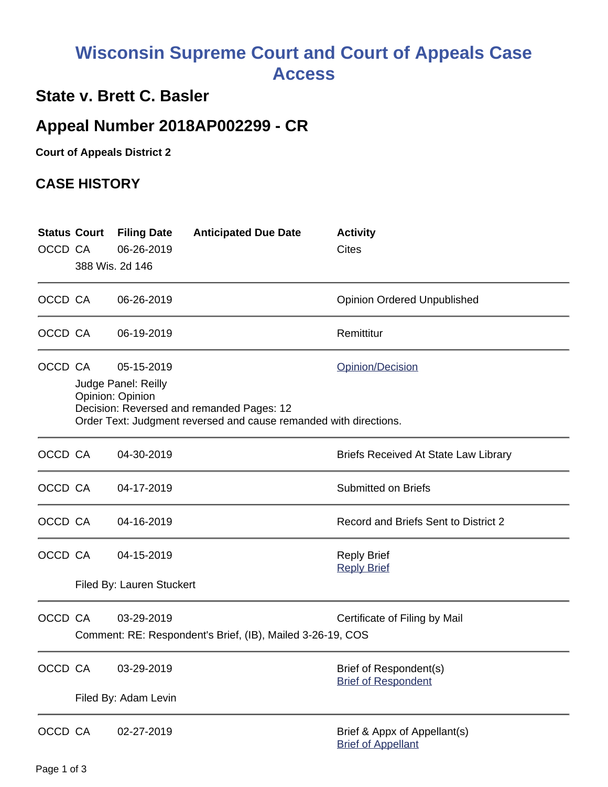# **Wisconsin Supreme Court and Court of Appeals Case Access**

### **State v. Brett C. Basler**

## **Appeal Number 2018AP002299 - CR**

**Court of Appeals District 2**

#### **CASE HISTORY**

| OCCD CA | <b>Status Court</b> | <b>Filing Date</b><br>06-26-2019<br>388 Wis. 2d 146                                                                                                                                         | <b>Anticipated Due Date</b> | <b>Activity</b><br><b>Cites</b>                           |
|---------|---------------------|---------------------------------------------------------------------------------------------------------------------------------------------------------------------------------------------|-----------------------------|-----------------------------------------------------------|
| OCCD CA |                     | 06-26-2019                                                                                                                                                                                  |                             | <b>Opinion Ordered Unpublished</b>                        |
| OCCD CA |                     | 06-19-2019                                                                                                                                                                                  |                             | Remittitur                                                |
| OCCD CA |                     | 05-15-2019<br>Opinion/Decision<br>Judge Panel: Reilly<br>Opinion: Opinion<br>Decision: Reversed and remanded Pages: 12<br>Order Text: Judgment reversed and cause remanded with directions. |                             |                                                           |
| OCCD CA |                     | 04-30-2019                                                                                                                                                                                  |                             | <b>Briefs Received At State Law Library</b>               |
| OCCD CA |                     | 04-17-2019                                                                                                                                                                                  |                             | <b>Submitted on Briefs</b>                                |
| OCCD CA |                     | 04-16-2019                                                                                                                                                                                  |                             | Record and Briefs Sent to District 2                      |
| OCCD CA |                     | 04-15-2019<br>Filed By: Lauren Stuckert                                                                                                                                                     |                             | <b>Reply Brief</b><br><b>Reply Brief</b>                  |
| OCCD CA |                     | 03-29-2019<br>Certificate of Filing by Mail<br>Comment: RE: Respondent's Brief, (IB), Mailed 3-26-19, COS                                                                                   |                             |                                                           |
| OCCD CA |                     | 03-29-2019<br>Filed By: Adam Levin                                                                                                                                                          |                             | Brief of Respondent(s)<br><b>Brief of Respondent</b>      |
| OCCD CA |                     | 02-27-2019                                                                                                                                                                                  |                             | Brief & Appx of Appellant(s)<br><b>Brief of Appellant</b> |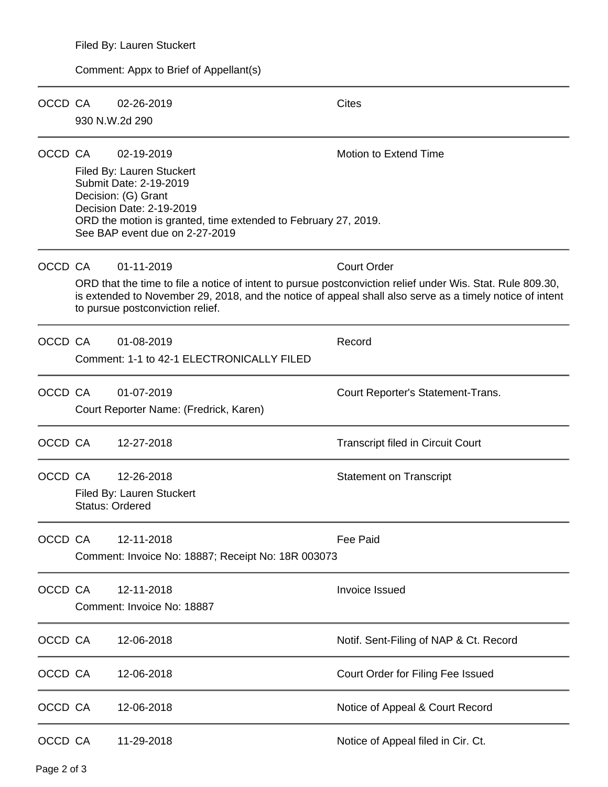#### Comment: Appx to Brief of Appellant(s)

| OCCD CA |                        | 02-26-2019<br>930 N.W.2d 290                                                                                                                                                                                             | Cites                                                                                                                                                                                                                                        |
|---------|------------------------|--------------------------------------------------------------------------------------------------------------------------------------------------------------------------------------------------------------------------|----------------------------------------------------------------------------------------------------------------------------------------------------------------------------------------------------------------------------------------------|
| OCCD CA |                        | 02-19-2019<br>Filed By: Lauren Stuckert<br>Submit Date: 2-19-2019<br>Decision: (G) Grant<br>Decision Date: 2-19-2019<br>ORD the motion is granted, time extended to February 27, 2019.<br>See BAP event due on 2-27-2019 | <b>Motion to Extend Time</b>                                                                                                                                                                                                                 |
| OCCD CA |                        | 01-11-2019<br>to pursue postconviction relief.                                                                                                                                                                           | <b>Court Order</b><br>ORD that the time to file a notice of intent to pursue postconviction relief under Wis. Stat. Rule 809.30,<br>is extended to November 29, 2018, and the notice of appeal shall also serve as a timely notice of intent |
| OCCD CA |                        | 01-08-2019<br>Comment: 1-1 to 42-1 ELECTRONICALLY FILED                                                                                                                                                                  | Record                                                                                                                                                                                                                                       |
| OCCD CA |                        | 01-07-2019<br>Court Reporter Name: (Fredrick, Karen)                                                                                                                                                                     | Court Reporter's Statement-Trans.                                                                                                                                                                                                            |
| OCCD CA |                        | 12-27-2018                                                                                                                                                                                                               | <b>Transcript filed in Circuit Court</b>                                                                                                                                                                                                     |
| OCCD CA | <b>Status: Ordered</b> | 12-26-2018<br>Filed By: Lauren Stuckert                                                                                                                                                                                  | <b>Statement on Transcript</b>                                                                                                                                                                                                               |
| OCCD CA |                        | 12-11-2018<br>Comment: Invoice No: 18887; Receipt No: 18R 003073                                                                                                                                                         | <b>Fee Paid</b>                                                                                                                                                                                                                              |
| OCCD CA |                        | 12-11-2018<br>Comment: Invoice No: 18887                                                                                                                                                                                 | <b>Invoice Issued</b>                                                                                                                                                                                                                        |
| OCCD CA |                        | 12-06-2018                                                                                                                                                                                                               | Notif. Sent-Filing of NAP & Ct. Record                                                                                                                                                                                                       |
| OCCD CA |                        | 12-06-2018                                                                                                                                                                                                               | Court Order for Filing Fee Issued                                                                                                                                                                                                            |
| OCCD CA |                        | 12-06-2018                                                                                                                                                                                                               | Notice of Appeal & Court Record                                                                                                                                                                                                              |
| OCCD CA |                        | 11-29-2018                                                                                                                                                                                                               | Notice of Appeal filed in Cir. Ct.                                                                                                                                                                                                           |